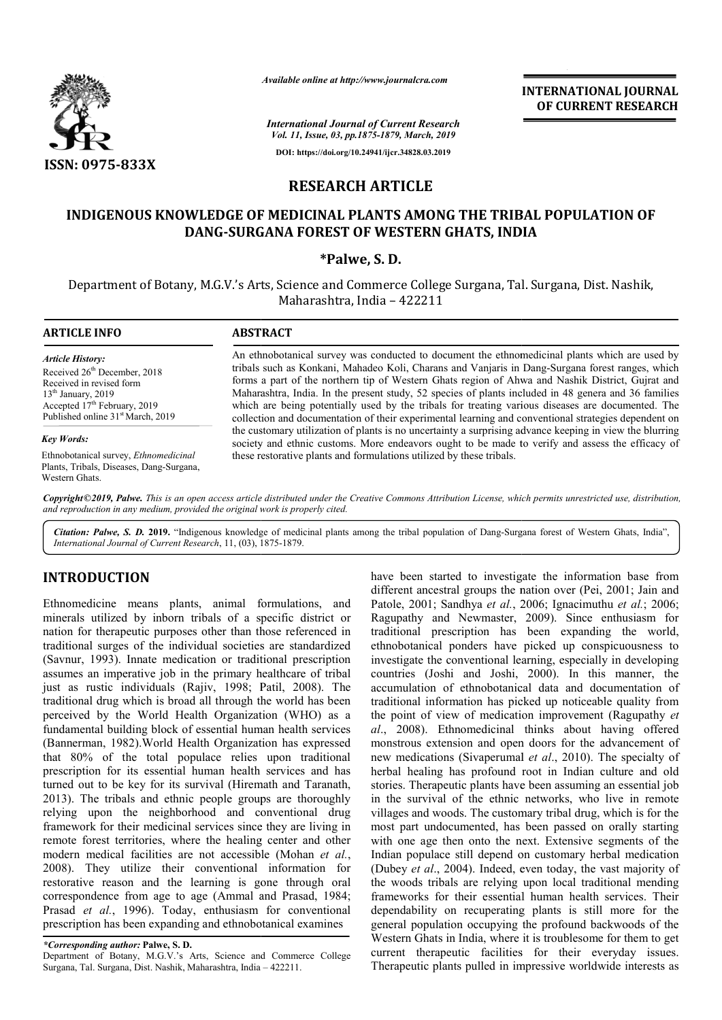

*Available online at http://www.journalcra.com*

*International Journal of Current Research Vol. 11, Issue, 03, pp.1875-1879, March, 2019* **DOI: https://doi.org/10.24941/ijcr.34828.03.2019**

**INTERNATIONAL JOURNAL OF CURRENT RESEARCH**

## **RESEARCH ARTICLE**

# INDIGENOUS KNOWLEDGE OF MEDICINAL PLANTS AMONG THE TRIBAL POPULATION OF<br>DANG-SURGANA FOREST OF WESTERN GHATS, INDIA **DANG-SURGANA FOREST OF WESTERN GHATS, INDIA SURGANA \*Palwe, S. D.**

Department of Botany, M.G.V.'s Arts, Science and Commerce College Surgana, Tal. Surgana, Dist. Nashik, Maharashtra, India – 422211

| <b>ARTICLE INFO</b>                                                                                                                                                                                                  | <b>ABSTRACT</b>                                                                                                                                                                                                                                                                                                                                                                                                                                                                                                                                                                                                             |  |  |  |
|----------------------------------------------------------------------------------------------------------------------------------------------------------------------------------------------------------------------|-----------------------------------------------------------------------------------------------------------------------------------------------------------------------------------------------------------------------------------------------------------------------------------------------------------------------------------------------------------------------------------------------------------------------------------------------------------------------------------------------------------------------------------------------------------------------------------------------------------------------------|--|--|--|
| <b>Article History:</b><br>Received 26 <sup>th</sup> December, 2018<br>Received in revised form<br>$13th$ January, 2019<br>Accepted 17 <sup>th</sup> February, 2019<br>Published online 31 <sup>st</sup> March, 2019 | An ethnobotanical survey was conducted to document the ethnomedicinal plants which are used by<br>tribals such as Konkani, Mahadeo Koli, Charans and Vanjaris in Dang-Surgana forest ranges, which<br>forms a part of the northern tip of Western Ghats region of Ahwa and Nashik District, Gujrat and<br>Maharashtra, India. In the present study, 52 species of plants included in 48 genera and 36 families<br>which are being potentially used by the tribals for treating various diseases are documented. The<br>collection and documentation of their experimental learning and conventional strategies dependent on |  |  |  |
| <b>Key Words:</b>                                                                                                                                                                                                    | the customary utilization of plants is no uncertainty a surprising advance keeping in view the blurring<br>society and ethnic customs. More endeavors ought to be made to verify and assess the efficacy of                                                                                                                                                                                                                                                                                                                                                                                                                 |  |  |  |
| Ethnobotanical survey, <i>Ethnomedicinal</i><br>Plants, Tribals, Diseases, Dang-Surgana,<br>Western Ghats.                                                                                                           | these restorative plants and formulations utilized by these tribals.                                                                                                                                                                                                                                                                                                                                                                                                                                                                                                                                                        |  |  |  |

Copyright©2019, Palwe. This is an open access article distributed under the Creative Commons Attribution License, which permits unrestricted use, distribution, *and reproduction in any medium, provided the original work is properly cited.*

Citation: Palwe, S. D. 2019. "Indigenous knowledge of medicinal plants among the tribal population of Dang-Surgana forest of Western Ghats, India", *International Journal of Current Research*, 11, (03), 1875 1875-1879.

### **INTRODUCTION**

Ethnomedicine means plants, animal formulations, and minerals utilized by inborn tribals of a specific district or nation for therapeutic purposes other than those referenced in traditional surges of the individual societies are standardized (Savnur, 1993). Innate medication or traditional prescription assumes an imperative job in the primary healthcare of tribal just as rustic individuals (Rajiv, 1998; Patil, 2008). The traditional drug which is broad all through the world has been perceived by the World Health Organization (WHO) as a fundamental building block of essential human health servi services (Bannerman, 1982).World Health Organization has expressed that 80% of the total populace relies upon traditional prescription for its essential human health services and has turned out to be key for its survival (Hiremath and Taranath, 2013). The tribals and ethnic people groups are thoroughly relying upon the neighborhood and conventional drug framework for their medicinal services since they are living in remote forest territories, where the healing center and other modern medical facilities are not accessible (Mohan et al., 2008). They utilize their conventional information for restorative reason and the learning is gone through oral correspondence from age to age (Ammal and Prasad, 1984; Prasad *et al.*, 1996). Today, enthusiasm for conventional prescription has been expanding and ethnobotanical examines Is and ethnic people groups are thoroughly<br>he neighborhood and conventional drug<br>eir medicinal services since they are living in<br>ritories, where the healing center and other<br>facilities are not accessible (Mohan *et al.*,

*\*Corresponding author:* **Palwe, S. D.**

Department of Botany, M.G.V.'s Arts, Science and Commerce College prescription has been expanding and ethnobotanical e<br>
\*Corresponding author: Palwe, S. D.<br>
Department of Botany, M.G.V.'s Arts, Science and Comme<br>
Surgana, Tal. Surgana, Dist. Nashik, Maharashtra, India – 422211.

have been started to investigate the information base from different ancestral groups the nation over (Pei, 2001; Jain and Patole, 2001; Sandhya et al., 2006; Ignacimuthu et al.; 2006; Ragupathy and Newmaster, 2009). Since enthusiasm for traditional prescription has been expanding the world, ethnobotanical ponders have picked up conspicuousness to investigate the conventional learning, especially in developing countries (Joshi and Joshi, 2000). In this manner, the accumulation of ethnobotanical data and documen traditional information has picked up noticeable quality from traditional information has picked up noticeable quality from<br>the point of view of medication improvement (Ragupathy *et al*., 2008). Ethnomedicinal thinks about having offered monstrous extension and open doors for the advancement of al., 2008). Ethnomedicinal thinks about having offered monstrous extension and open doors for the advancement of new medications (Sivaperumal *et al.*, 2010). The specialty of herbal healing has profound root in Indian culture and old stories. Therapeutic plants have been assuming an essential job in the survival of the ethnic networks, who live in remote villages and woods. The customary tribal drug, which is for the most part undocumented, has been passed on orally starting with one age then onto the next. Extensive segments of the Indian populace still depend on customary herbal medication (Dubey *et al.*, 2004). Indeed, even today, the vast majority of the woods tribals are relying upon local traditional mending frameworks for their essential human health services. Their dependability on recuperating plants is still more for the general population occupying the profound backwoods o Western Ghats in India, where it is troublesome for them to get current therapeutic facilities for their everyday issues. Therapeutic plants pulled in impressive worldwide interests as been started to investigate the information base from<br>ent ancestral groups the nation over (Pei, 2001; Jain and<br>*i*, 2001; Sandhya *et al.*, 2006; Ignacimuthu *et al.*; 2006; and Newmaster, 2009). Since enthusiasm for prescription has been expanding the world, ical ponders have picked up conspicuousness to the conventional learning, especially in developing (Joshi and Joshi, 2000). In this mann herbal healing has profound root in Indian culture and old stories. Therapeutic plants have been assuming an essential job in the survival of the ethnic networks, who live in remote villages and woods. The customary tribal tribals are relying upon local traditional mending<br>is for their essential human health services. Their<br>ty on recuperating plants is still more for the<br>vulation occupying the profound backwoods of the for issues.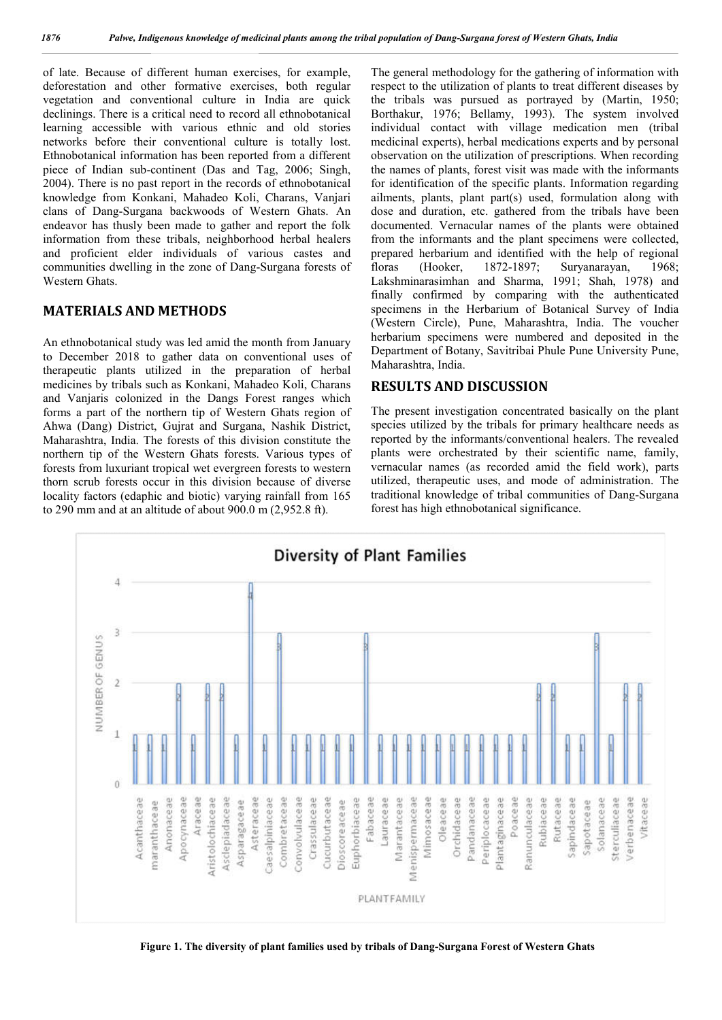of late. Because of different human exercises, for example, deforestation and other formative exercises, both regular vegetation and conventional culture in India are quick declinings. There is a critical need to record all ethnobotanical learning accessible with various ethnic and old stories networks before their conventional culture is totally lost. Ethnobotanical information has been reported from a different piece of Indian sub-continent (Das and Tag, 2006; Singh, 2004). There is no past report in the records of ethnobotanical knowledge from Konkani, Mahadeo Koli, Charans, Vanjari clans of Dang-Surgana backwoods of Western Ghats. An endeavor has thusly been made to gather and report the folk information from these tribals, neighborhood herbal healers and proficient elder individuals of various castes and communities dwelling in the zone of Dang-Surgana forests of Western Ghats.

#### **MATERIALS AND METHODS**

An ethnobotanical study was led amid the month from January to December 2018 to gather data on conventional uses of therapeutic plants utilized in the preparation of herbal medicines by tribals such as Konkani, Mahadeo Koli, Charans and Vanjaris colonized in the Dangs Forest ranges which forms a part of the northern tip of Western Ghats region of Ahwa (Dang) District, Gujrat and Surgana, Nashik District, Maharashtra, India. The forests of this division constitute the northern tip of the Western Ghats forests. Various types of forests from luxuriant tropical wet evergreen forests to western thorn scrub forests occur in this division because of diverse locality factors (edaphic and biotic) varying rainfall from 165 to 290 mm and at an altitude of about 900.0 m (2,952.8 ft).

The general methodology for the gathering of information with respect to the utilization of plants to treat different diseases by the tribals was pursued as portrayed by (Martin, 1950; Borthakur, 1976; Bellamy, 1993). The system involved individual contact with village medication men (tribal medicinal experts), herbal medications experts and by personal observation on the utilization of prescriptions. When recording the names of plants, forest visit was made with the informants for identification of the specific plants. Information regarding ailments, plants, plant part(s) used, formulation along with dose and duration, etc. gathered from the tribals have been documented. Vernacular names of the plants were obtained from the informants and the plant specimens were collected, prepared herbarium and identified with the help of regional floras (Hooker, 1872-1897; Suryanarayan, 1968; Lakshminarasimhan and Sharma, 1991; Shah, 1978) and finally confirmed by comparing with the authenticated specimens in the Herbarium of Botanical Survey of India (Western Circle), Pune, Maharashtra, India. The voucher herbarium specimens were numbered and deposited in the Department of Botany, Savitribai Phule Pune University Pune, Maharashtra, India.

#### **RESULTS AND DISCUSSION**

The present investigation concentrated basically on the plant species utilized by the tribals for primary healthcare needs as reported by the informants/conventional healers. The revealed plants were orchestrated by their scientific name, family, vernacular names (as recorded amid the field work), parts utilized, therapeutic uses, and mode of administration. The traditional knowledge of tribal communities of Dang-Surgana forest has high ethnobotanical significance.



**Figure 1. The diversity of plant families used by tribals of Dang-Surgana Forest of Western Ghats**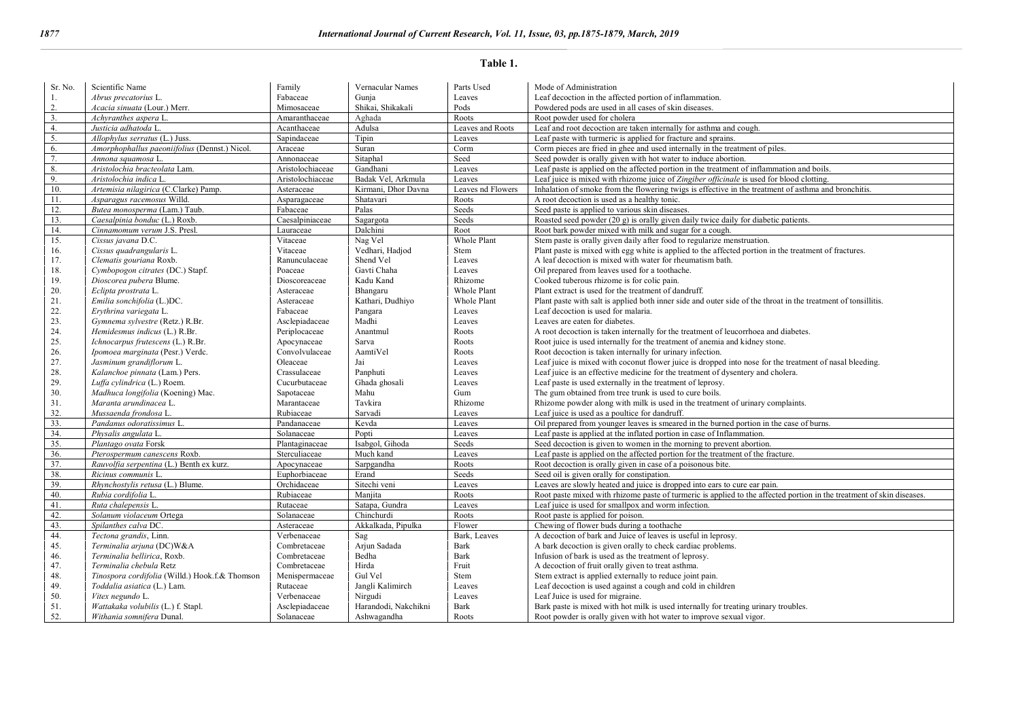#### **Table 1.**

| Sr. No. | Scientific Name                                | Family           | Vernacular Names     | Parts Used        | Mode of Administration                                                                                                |
|---------|------------------------------------------------|------------------|----------------------|-------------------|-----------------------------------------------------------------------------------------------------------------------|
|         | Abrus precatorius L.                           | Fabaceae         | Gunja                | Leaves            | Leaf decoction in the affected portion of inflammation.                                                               |
| 2.      | Acacia sinuata (Lour.) Merr.                   | Mimosaceae       | Shikai, Shikakali    | Pods              | Powdered pods are used in all cases of skin diseases.                                                                 |
| 3.      | Achyranthes aspera L.                          | Amaranthaceae    | Aghada               | Roots             | Root powder used for cholera                                                                                          |
| 4.      |                                                | Acanthaceae      | Adulsa               | Leaves and Roots  |                                                                                                                       |
|         | Justicia adhatoda L.                           |                  |                      |                   | Leaf and root decoction are taken internally for asthma and cough.                                                    |
| 5.      | Allophylus serratus (L.) Juss.                 | Sapindaceae      | Tipin                | Leaves            | Leaf paste with turmeric is applied for fracture and sprains.                                                         |
| 6.      | Amorphophallus paeoniifolius (Dennst.) Nicol.  | Araceae          | Suran                | Corm              | Corm pieces are fried in ghee and used internally in the treatment of piles.                                          |
| 7.      | Annona squamosa L.                             | Annonaceae       | Sitaphal             | Seed              | Seed powder is orally given with hot water to induce abortion.                                                        |
| 8.      | Aristolochia bracteolata Lam.                  | Aristolochiaceae | Gandhani             | Leaves            | Leaf paste is applied on the affected portion in the treatment of inflammation and boils.                             |
| 9.      | Aristolochia indica L.                         | Aristolochiaceae | Badak Vel, Arkmula   | Leaves            | Leaf juice is mixed with rhizome juice of Zingiber officinale is used for blood clotting.                             |
| 10.     | Artemisia nilagirica (C.Clarke) Pamp.          | Asteraceae       | Kirmani. Dhor Davna  | Leaves nd Flowers | Inhalation of smoke from the flowering twigs is effective in the treatment of asthma and bronchitis.                  |
| 11.     | Asparagus racemosus Willd.                     | Asparagaceae     | Shatavari            | Roots             | A root decoction is used as a healthy tonic.                                                                          |
| 12.     | Butea monosperma (Lam.) Taub.                  | Fabaceae         | Palas                | Seeds             | Seed paste is applied to various skin diseases.                                                                       |
| 13.     | Caesalpinia bonduc (L.) Roxb.                  | Caesalpiniaceae  | Sagargota            | Seeds             | Roasted seed powder (20 g) is orally given daily twice daily for diabetic patients.                                   |
| 14.     | Cinnamomum verum J.S. Presl.                   | Lauraceae        | Dalchini             | Root              | Root bark powder mixed with milk and sugar for a cough.                                                               |
| 15.     | Cissus javana D.C.                             | Vitaceae         | Nag Vel              | Whole Plant       | Stem paste is orally given daily after food to regularize menstruation.                                               |
| 16.     | Cissus quadrangularis L.                       | Vitaceae         | Vedhari, Hadjod      | Stem              | Plant paste is mixed with egg white is applied to the affected portion in the treatment of fractures.                 |
| 17.     | Clematis gouriana Roxb.                        | Ranunculaceae    | Shend Vel            | Leaves            | A leaf decoction is mixed with water for rheumatism bath.                                                             |
| 18.     | Cymbopogon citrates (DC.) Stapf.               | Poaceae          | Gavti Chaha          | Leaves            | Oil prepared from leaves used for a toothache.                                                                        |
| 19.     | Dioscorea pubera Blume.                        | Dioscoreaceae    | Kadu Kand            | Rhizome           | Cooked tuberous rhizome is for colic pain.                                                                            |
| 20.     | Eclipta prostrata L.                           | Asteraceae       | Bhangaru             | Whole Plant       | Plant extract is used for the treatment of dandruff.                                                                  |
| 21.     | Emilia sonchifolia (L.)DC.                     | Asteraceae       | Kathari, Dudhiyo     | Whole Plant       | Plant paste with salt is applied both inner side and outer side of the throat in the treatment of tonsillitis.        |
| 22.     | Erythrina variegata L.                         | Fabaceae         | Pangara              | Leaves            | Leaf decoction is used for malaria.                                                                                   |
| 23.     | Gymnema sylvestre (Retz.) R.Br.                | Asclepiadaceae   | Madhi                | Leaves            | Leaves are eaten for diabetes.                                                                                        |
| 24.     | Hemidesmus indicus (L.) R.Br.                  | Periplocaceae    | Anantmul             | Roots             | A root decoction is taken internally for the treatment of leucorrhoea and diabetes.                                   |
| 25.     | Ichnocarpus frutescens (L.) R.Br.              | Apocynaceae      | Sarva                | Roots             | Root juice is used internally for the treatment of anemia and kidney stone.                                           |
| 26.     | Ipomoea marginata (Pesr.) Verdc.               | Convolvulaceae   | AamtiVel             | Roots             | Root decoction is taken internally for urinary infection.                                                             |
| 27.     | Jasminum grandiflorum L.                       | Oleaceae         | Jai                  | Leaves            | Leaf juice is mixed with coconut flower juice is dropped into nose for the treatment of nasal bleeding.               |
| 28.     | Kalanchoe pinnata (Lam.) Pers.                 | Crassulaceae     | Panphuti             |                   | Leaf juice is an effective medicine for the treatment of dysentery and cholera.                                       |
| 29.     |                                                | Cucurbutaceae    |                      | Leaves<br>Leaves  |                                                                                                                       |
|         | Luffa cylindrica (L.) Roem.                    |                  | Ghada ghosali        |                   | Leaf paste is used externally in the treatment of leprosy.                                                            |
| 30.     | Madhuca longifolia (Koening) Mac.              | Sapotaceae       | Mahu                 | Gum               | The gum obtained from tree trunk is used to cure boils.                                                               |
| 31.     | Maranta arundinacea L.                         | Marantaceae      | Tavkira              | Rhizome           | Rhizome powder along with milk is used in the treatment of urinary complaints.                                        |
| 32.     | Mussaenda frondosa L.                          | Rubiaceae        | Sarvadi              | Leaves            | Leaf juice is used as a poultice for dandruff.                                                                        |
| 33.     | Pandanus odoratissimus L.                      | Pandanaceae      | Kevda                | Leaves            | Oil prepared from younger leaves is smeared in the burned portion in the case of burns.                               |
| 34.     | Physalis angulata L.                           | Solanaceae       | Popti                | Leaves            | Leaf paste is applied at the inflated portion in case of Inflammation.                                                |
| 35.     | Plantago ovata Forsk                           | Plantaginaceae   | Isabgol, Gihoda      | Seeds             | Seed decoction is given to women in the morning to prevent abortion.                                                  |
| 36.     | Pterospermum canescens Roxb.                   | Sterculiaceae    | Much kand            | Leaves            | Leaf paste is applied on the affected portion for the treatment of the fracture.                                      |
| 37.     | Rauvolfia serpentina (L.) Benth ex kurz.       | Apocynaceae      | Sarpgandha           | Roots             | Root decoction is orally given in case of a poisonous bite.                                                           |
| 38.     | Ricinus communis L.                            | Euphorbiaceae    | Erand                | Seeds             | Seed oil is given orally for constipation.                                                                            |
| 39.     | Rhynchostylis retusa (L.) Blume.               | Orchidaceae      | Sitechi veni         | Leaves            | Leaves are slowly heated and juice is dropped into ears to cure ear pain.                                             |
| 40.     | Rubia cordifolia L.                            | Rubiaceae        | Maniita              | Roots             | Root paste mixed with rhizome paste of turmeric is applied to the affected portion in the treatment of skin diseases. |
| 41.     | Ruta chalepensis L.                            | Rutaceae         | Satapa, Gundra       | Leaves            | Leaf juice is used for smallpox and worm infection.                                                                   |
| 42.     | Solanum violaceum Ortega                       | Solanaceae       | Chinchurdi           | Roots             | Root paste is applied for poison.                                                                                     |
| 43.     | Spilanthes calva DC.                           | Asteraceae       | Akkalkada, Pipulka   | Flower            | Chewing of flower buds during a toothache                                                                             |
| 44.     | Tectona grandis, Linn.                         | Verbenaceae      | Sag                  | Bark. Leaves      | A decoction of bark and Juice of leaves is useful in leprosy.                                                         |
| 45.     | Terminalia arjuna (DC)W&A                      | Combretaceae     | Arjun Sadada         | Bark              | A bark decoction is given orally to check cardiac problems.                                                           |
| 46.     | Terminalia bellirica, Roxb.                    | Combretaceae     | Bedha                | Bark              | Infusion of bark is used as the treatment of leprosy.                                                                 |
| 47.     | Terminalia chebula Retz                        | Combretaceae     | Hirda                | Fruit             | A decoction of fruit orally given to treat asthma.                                                                    |
| 48.     | Tinospora cordifolia (Willd.) Hook.f.& Thomson | Menispermaceae   | Gul Vel              | Stem              | Stem extract is applied externally to reduce joint pain.                                                              |
| 49.     | Toddalia asiatica (L.) Lam.                    | Rutaceae         | Jangli Kalimirch     | Leaves            | Leaf decoction is used against a cough and cold in children                                                           |
| 50.     | Vitex negundo L.                               | Verbenaceae      | Nirgudi              | Leaves            | Leaf Juice is used for migraine.                                                                                      |
| 51.     | Wattakaka volubilis (L.) f. Stapl.             | Asclepiadaceae   | Harandodi, Nakchikni | <b>Bark</b>       | Bark paste is mixed with hot milk is used internally for treating urinary troubles.                                   |
| 52.     | Withania somnifera Dunal.                      | Solanaceae       | Ashwagandha          | Roots             | Root powder is orally given with hot water to improve sexual vigor.                                                   |
|         |                                                |                  |                      |                   |                                                                                                                       |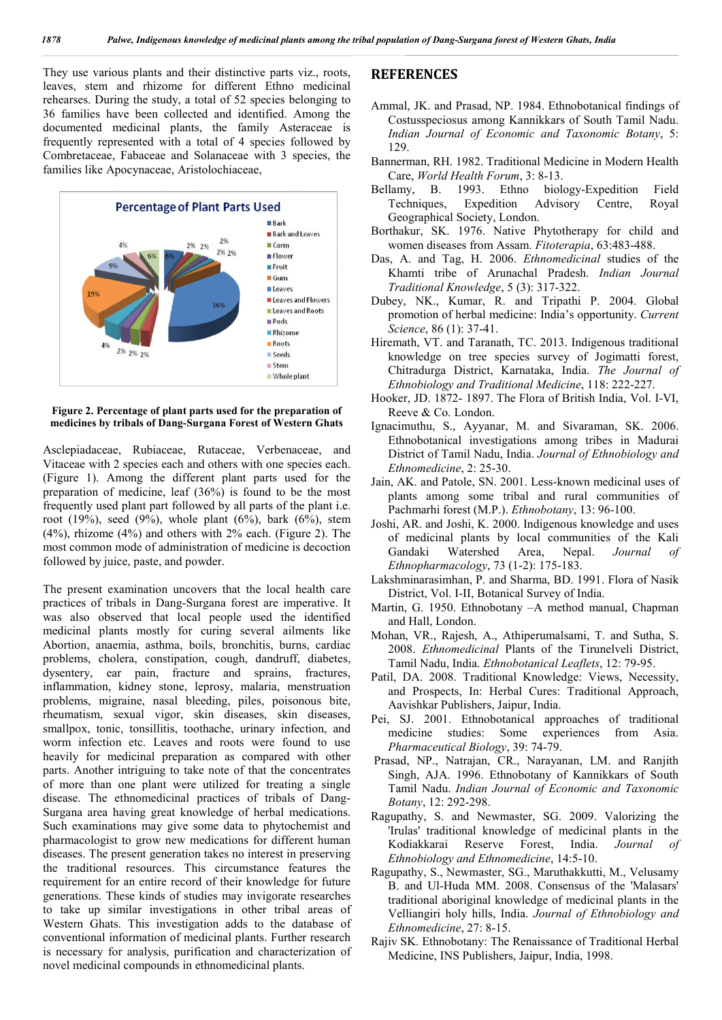They use various plants and their distinctive parts viz., roots, leaves, stem and rhizome for different Ethno medicinal rehearses. During the study, a total of 52 species belonging to 36 families have been collected and identified. Among the documented medicinal plants, the family Asteraceae is frequently represented with a total of 4 species followed by Combretaceae, Fabaceae and Solanaceae with 3 species, the families like Apocynaceae, Aristolochiaceae,



#### **Figure 2. Percentage of plant parts used for the preparation of medicines by tribals of Dang-Surgana Forest of Western Ghats**

Asclepiadaceae, Rubiaceae, Rutaceae, Verbenaceae, and Vitaceae with 2 species each and others with one species each. (Figure 1). Among the different plant parts used for the preparation of medicine, leaf (36%) is found to be the most frequently used plant part followed by all parts of the plant i.e. root (19%), seed (9%), whole plant (6%), bark (6%), stem (4%), rhizome (4%) and others with 2% each. (Figure 2). The most common mode of administration of medicine is decoction followed by juice, paste, and powder.

The present examination uncovers that the local health care practices of tribals in Dang-Surgana forest are imperative. It was also observed that local people used the identified medicinal plants mostly for curing several ailments like Abortion, anaemia, asthma, boils, bronchitis, burns, cardiac problems, cholera, constipation, cough, dandruff, diabetes, dysentery, ear pain, fracture and sprains, fractures, inflammation, kidney stone, leprosy, malaria, menstruation problems, migraine, nasal bleeding, piles, poisonous bite, rheumatism, sexual vigor, skin diseases, skin diseases, smallpox, tonic, tonsillitis, toothache, urinary infection, and worm infection etc. Leaves and roots were found to use heavily for medicinal preparation as compared with other parts. Another intriguing to take note of that the concentrates of more than one plant were utilized for treating a single disease. The ethnomedicinal practices of tribals of Dang-Surgana area having great knowledge of herbal medications. Such examinations may give some data to phytochemist and pharmacologist to grow new medications for different human diseases. The present generation takes no interest in preserving the traditional resources. This circumstance features the requirement for an entire record of their knowledge for future generations. These kinds of studies may invigorate researches to take up similar investigations in other tribal areas of Western Ghats. This investigation adds to the database of conventional information of medicinal plants. Further research is necessary for analysis, purification and characterization of novel medicinal compounds in ethnomedicinal plants.

#### **REFERENCES**

- Ammal, JK. and Prasad, NP. 1984. Ethnobotanical findings of Costusspeciosus among Kannikkars of South Tamil Nadu. *Indian Journal of Economic and Taxonomic Botany*, 5: 129.
- Bannerman, RH. 1982. Traditional Medicine in Modern Health Care, *World Health Forum*, 3: 8-13.
- Bellamy, B. 1993. Ethno biology-Expedition Field Techniques, Expedition Advisory Centre, Royal Geographical Society, London.
- Borthakur, SK. 1976. Native Phytotherapy for child and women diseases from Assam. *Fitoterapia*, 63:483-488.
- Das, A. and Tag, H. 2006. *Ethnomedicinal* studies of the Khamti tribe of Arunachal Pradesh. *Indian Journal Traditional Knowledge*, 5 (3): 317-322.
- Dubey, NK., Kumar, R. and Tripathi P. 2004. Global promotion of herbal medicine: India's opportunity. *Current Science*, 86 (1): 37-41.
- Hiremath, VT. and Taranath, TC. 2013. Indigenous traditional knowledge on tree species survey of Jogimatti forest, Chitradurga District, Karnataka, India. *The Journal of Ethnobiology and Traditional Medicine*, 118: 222-227.
- Hooker, JD. 1872- 1897. The Flora of British India, Vol. I-VI, Reeve & Co. London.
- Ignacimuthu, S., Ayyanar, M. and Sivaraman, SK. 2006. Ethnobotanical investigations among tribes in Madurai District of Tamil Nadu, India. *Journal of Ethnobiology and Ethnomedicine*, 2: 25-30.
- Jain, AK. and Patole, SN. 2001. Less-known medicinal uses of plants among some tribal and rural communities of Pachmarhi forest (M.P.). *Ethnobotany*, 13: 96-100.
- Joshi, AR. and Joshi, K. 2000. Indigenous knowledge and uses of medicinal plants by local communities of the Kali<br>Gandaki Watershed Area, Nepal. Journal of Gandaki Watershed Area, Nepal. *Journal of Ethnopharmacology*, 73 (1-2): 175-183.
- Lakshminarasimhan, P. and Sharma, BD. 1991. Flora of Nasik District, Vol. I-II, Botanical Survey of India.
- Martin, G. 1950. Ethnobotany –A method manual, Chapman and Hall, London.
- Mohan, VR., Rajesh, A., Athiperumalsami, T. and Sutha, S. 2008. *Ethnomedicinal* Plants of the Tirunelveli District, Tamil Nadu, India. *Ethnobotanical Leaflets*, 12: 79-95.
- Patil, DA. 2008. Traditional Knowledge: Views, Necessity, and Prospects, In: Herbal Cures: Traditional Approach, Aavishkar Publishers, Jaipur, India.
- Pei, SJ. 2001. Ethnobotanical approaches of traditional medicine studies: Some experiences from Asia. *Pharmaceutical Biology*, 39: 74-79.
- Prasad, NP., Natrajan, CR., Narayanan, LM. and Ranjith Singh, AJA. 1996. Ethnobotany of Kannikkars of South Tamil Nadu. *Indian Journal of Economic and Taxonomic Botany*, 12: 292-298.
- Ragupathy, S. and Newmaster, SG. 2009. Valorizing the 'Irulas' traditional knowledge of medicinal plants in the Kodiakkarai Reserve Forest, India. *Journal of Ethnobiology and Ethnomedicine*, 14:5-10.
- Ragupathy, S., Newmaster, SG., Maruthakkutti, M., Velusamy B. and Ul-Huda MM. 2008. Consensus of the 'Malasars' traditional aboriginal knowledge of medicinal plants in the Velliangiri holy hills, India. *Journal of Ethnobiology and Ethnomedicine*, 27: 8-15.
- Rajiv SK. Ethnobotany: The Renaissance of Traditional Herbal Medicine, INS Publishers, Jaipur, India, 1998.